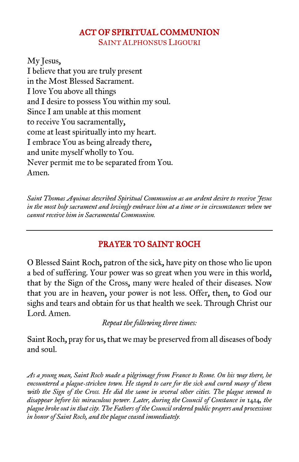# ACT OF SPIRITUAL COMMUNION

SAINT ALPHONSUS LIGOURI

My Jesus, I believe that you are truly present in the Most Blessed Sacrament. I love You above all things and I desire to possess You within my soul. Since I am unable at this moment to receive You sacramentally, come at least spiritually into my heart. I embrace You as being already there, and unite myself wholly to You. Never permit me to be separated from You. Amen.

*Saint Thomas Aquinas described Spiritual Communion as an ardent desire to receive Jesus in the most holy sacrament and lovingly embrace him at a time or in circumstances when we cannot receive him in Sacramental Communion.*

# PRAYER TO SAINT ROCH

O Blessed Saint Roch, patron of the sick, have pity on those who lie upon a bed of suffering. Your power was so great when you were in this world, that by the Sign of the Cross, many were healed of their diseases. Now that you are in heaven, your power is not less. Offer, then, to God our sighs and tears and obtain for us that health we seek. Through Christ our Lord. Amen.

*Repeat the following three times:*

Saint Roch, pray for us, that we may be preserved from all diseases of body and soul.

*As a young man, Saint Roch made a pilgrimage from France to Rome. On his way there, he encountered a plague-stricken town. He stayed to care for the sick and cured many of them with the Sign of the Cross. He did the same in several other cities. The plague seemed to disappear before his miraculous power. Later, during the Council of Constance in 1414, the plague broke out in that city. The Fathers of the Council ordered public prayers and processions in honor of Saint Roch, and the plague ceased immediately.*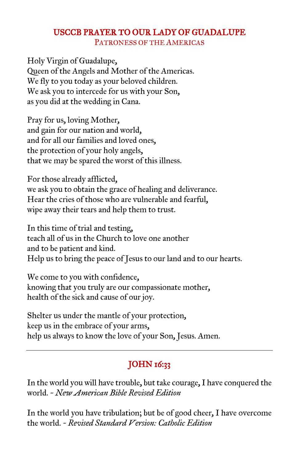# USCCB PRAYER TO OUR LADY OF GUADALUPE

PATRONESS OF THE AMERICAS

Holy Virgin of Guadalupe, Queen of the Angels and Mother of the Americas. We fly to you today as your beloved children. We ask you to intercede for us with your Son, as you did at the wedding in Cana.

Pray for us, loving Mother, and gain for our nation and world, and for all our families and loved ones, the protection of your holy angels, that we may be spared the worst of this illness.

For those already afflicted, we ask you to obtain the grace of healing and deliverance. Hear the cries of those who are vulnerable and fearful, wipe away their tears and help them to trust.

In this time of trial and testing, teach all of us in the Church to love one another and to be patient and kind. Help us to bring the peace of Jesus to our land and to our hearts.

We come to you with confidence, knowing that you truly are our compassionate mother, health of the sick and cause of our joy.

Shelter us under the mantle of your protection, keep us in the embrace of your arms, help us always to know the love of your Son, Jesus. Amen.

# **JOHN 16:33**

In the world you will have trouble, but take courage, I have conquered the world. *~ New American Bible Revised Edition*

In the world you have tribulation; but be of good cheer, I have overcome the world. *~ Revised Standard Version: Catholic Edition*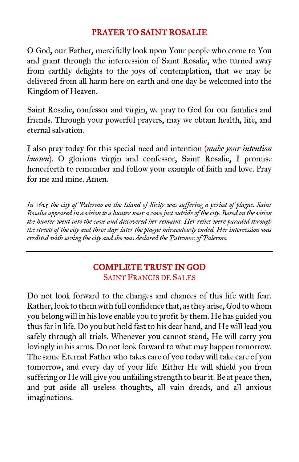#### PRAYER TO SAINT ROSALIE

O God, our Father, mercifully look upon Your people who come to You and grant through the intercession of Saint Rosalie, who turned away from earthly delights to the joys of contemplation, that we may be delivered from all harm here on earth and one day be welcomed into the Kingdom of Heaven.

Saint Rosalie, confessor and virgin, we pray to God for our families and friends. Through your powerful prayers, may we obtain health, life, and eternal salvation.

I also pray today for this special need and intention (*make your intention known*). O glorious virgin and confessor, Saint Rosalie, I promise henceforth to remember and follow your example of faith and love. Pray for me and mine. Amen.

*In 1625 the city of Palermo on the Island of Sicily was suffering a period of plague. Saint Rosalia appeared in a vision to a hunter near a cave just outside of the city. Based on the vision the hunter went into the cave and discovered her remains. Her relics were paraded through the streets of the city and three days later the plague miraculously ended. Her intercession was credited with saving the city and she was declared the Patroness of Palermo.*

### COMPLETE TRUST IN GOD SAINT FRANCIS DE SALES

Do not look forward to the changes and chances of this life with fear. Rather, look to them with full confidence that, as they arise, God to whom you belong will in his love enable you to profit by them. He has guided you thus far in life. Do you but hold fast to his dear hand, and He will lead you safely through all trials. Whenever you cannot stand, He will carry you lovingly in his arms. Do not look forward to what may happen tomorrow. The same Eternal Father who takes care of you today will take care of you tomorrow, and every day of your life. Either He will shield you from suffering or He will give you unfailing strength to bear it. Be at peace then, and put aside all useless thoughts, all vain dreads, and all anxious imaginations.